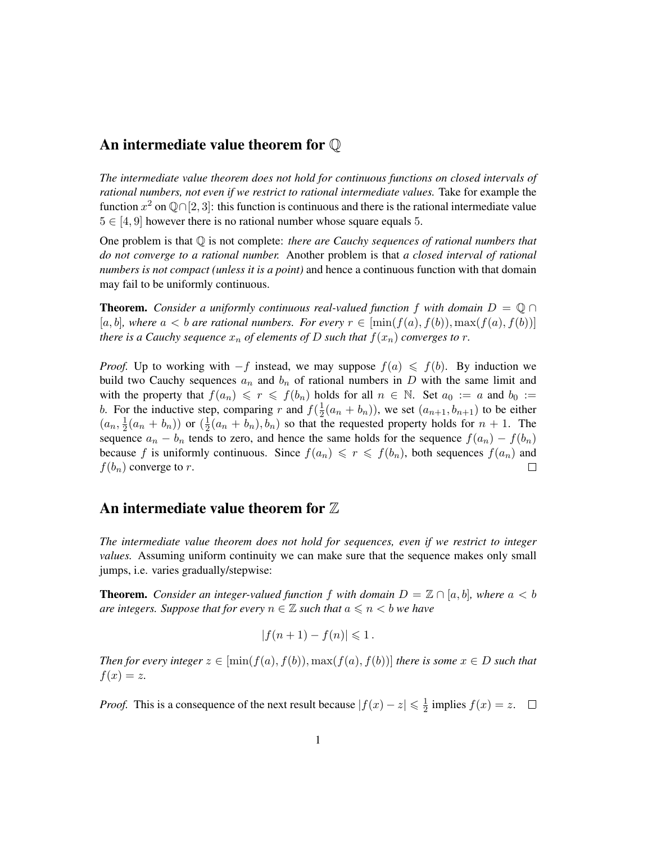## An intermediate value theorem for Q

*The intermediate value theorem does not hold for continuous functions on closed intervals of rational numbers, not even if we restrict to rational intermediate values.* Take for example the function  $x^2$  on  $\mathbb{Q} \cap [2, 3]$ : this function is continuous and there is the rational intermediate value  $5 \in [4, 9]$  however there is no rational number whose square equals 5.

One problem is that Q is not complete: *there are Cauchy sequences of rational numbers that do not converge to a rational number.* Another problem is that *a closed interval of rational numbers is not compact (unless it is a point)* and hence a continuous function with that domain may fail to be uniformly continuous.

**Theorem.** *Consider a uniformly continuous real-valued function* f *with domain*  $D = \mathbb{Q} \cap$ [a, b], where  $a < b$  are rational numbers. For every  $r \in [\min(f(a), f(b)), \max(f(a), f(b))]$ *there is a Cauchy sequence*  $x_n$  *of elements of* D *such that*  $f(x_n)$  *converges to*  $r$ *.* 

*Proof.* Up to working with  $-f$  instead, we may suppose  $f(a) \leq f(b)$ . By induction we build two Cauchy sequences  $a_n$  and  $b_n$  of rational numbers in D with the same limit and with the property that  $f(a_n) \leq r \leq f(b_n)$  holds for all  $n \in \mathbb{N}$ . Set  $a_0 := a$  and  $b_0 := a$ b. For the inductive step, comparing r and  $f(\frac{1}{2})$  $\frac{1}{2}(a_n + b_n)$ , we set  $(a_{n+1}, b_{n+1})$  to be either  $(a_n, \frac{1}{2})$  $\frac{1}{2}(a_n + b_n)$ ) or  $(\frac{1}{2})$  $\frac{1}{2}(a_n + b_n), b_n)$  so that the requested property holds for  $n + 1$ . The sequence  $a_n - b_n$  tends to zero, and hence the same holds for the sequence  $f(a_n) - f(b_n)$ because f is uniformly continuous. Since  $f(a_n) \leq r \leq f(b_n)$ , both sequences  $f(a_n)$  and  $f(b_n)$  converge to r.  $\Box$ 

## An intermediate value theorem for  $\mathbb Z$

*The intermediate value theorem does not hold for sequences, even if we restrict to integer values.* Assuming uniform continuity we can make sure that the sequence makes only small jumps, i.e. varies gradually/stepwise:

**Theorem.** *Consider an integer-valued function* f *with domain*  $D = \mathbb{Z} \cap [a, b]$ *, where*  $a < b$ *are integers. Suppose that for every*  $n \in \mathbb{Z}$  *such that*  $a \leq n \leq b$  *we have* 

$$
|f(n+1)-f(n)|\leqslant 1.
$$

*Then for every integer*  $z \in [\min(f(a), f(b)), \max(f(a), f(b))]$  *there is some*  $x \in D$  *such that*  $f(x) = z$ .

*Proof.* This is a consequence of the next result because  $|f(x) - z| \leq \frac{1}{2}$  $\frac{1}{2}$  implies  $f(x) = z$ .